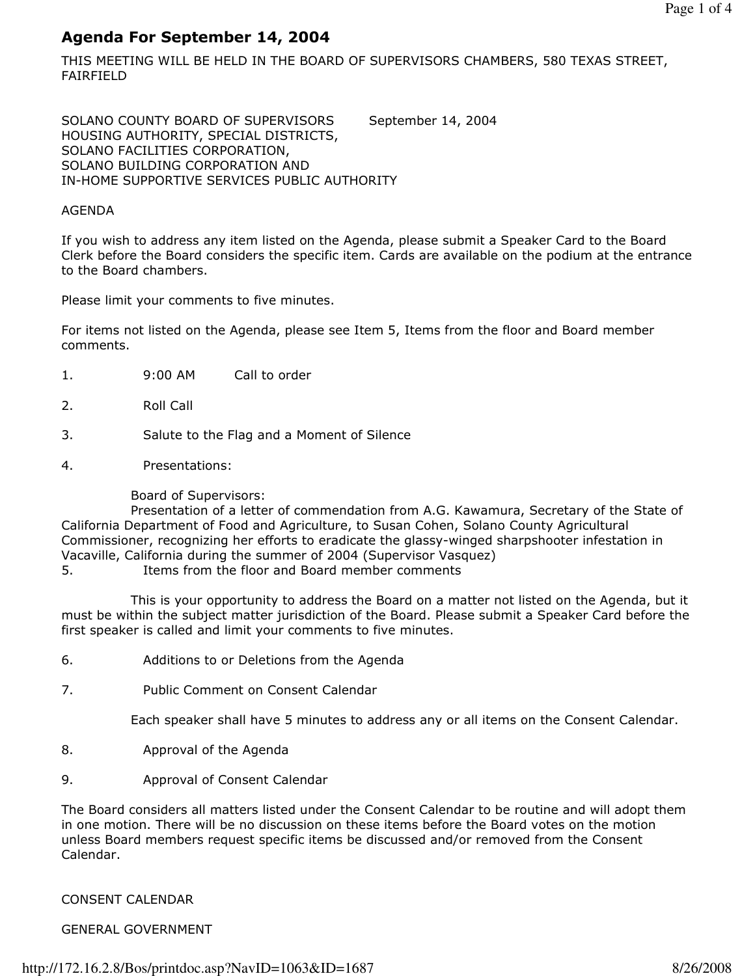# Agenda For September 14, 2004

THIS MEETING WILL BE HELD IN THE BOARD OF SUPERVISORS CHAMBERS, 580 TEXAS STREET, FAIRFIELD

SOLANO COUNTY BOARD OF SUPERVISORS September 14, 2004 HOUSING AUTHORITY, SPECIAL DISTRICTS, SOLANO FACILITIES CORPORATION, SOLANO BUILDING CORPORATION AND IN-HOME SUPPORTIVE SERVICES PUBLIC AUTHORITY

#### AGENDA

If you wish to address any item listed on the Agenda, please submit a Speaker Card to the Board Clerk before the Board considers the specific item. Cards are available on the podium at the entrance to the Board chambers.

Please limit your comments to five minutes.

For items not listed on the Agenda, please see Item 5, Items from the floor and Board member comments.

- 1. 9:00 AM Call to order
- 2. Roll Call
- 3. Salute to the Flag and a Moment of Silence
- 4. Presentations:

Board of Supervisors:

 Presentation of a letter of commendation from A.G. Kawamura, Secretary of the State of California Department of Food and Agriculture, to Susan Cohen, Solano County Agricultural Commissioner, recognizing her efforts to eradicate the glassy-winged sharpshooter infestation in Vacaville, California during the summer of 2004 (Supervisor Vasquez)

5. Items from the floor and Board member comments

 This is your opportunity to address the Board on a matter not listed on the Agenda, but it must be within the subject matter jurisdiction of the Board. Please submit a Speaker Card before the first speaker is called and limit your comments to five minutes.

- 6. Additions to or Deletions from the Agenda
- 7. Public Comment on Consent Calendar

Each speaker shall have 5 minutes to address any or all items on the Consent Calendar.

- 8. Approval of the Agenda
- 9. Approval of Consent Calendar

The Board considers all matters listed under the Consent Calendar to be routine and will adopt them in one motion. There will be no discussion on these items before the Board votes on the motion unless Board members request specific items be discussed and/or removed from the Consent Calendar.

### CONSENT CALENDAR

### GENERAL GOVERNMENT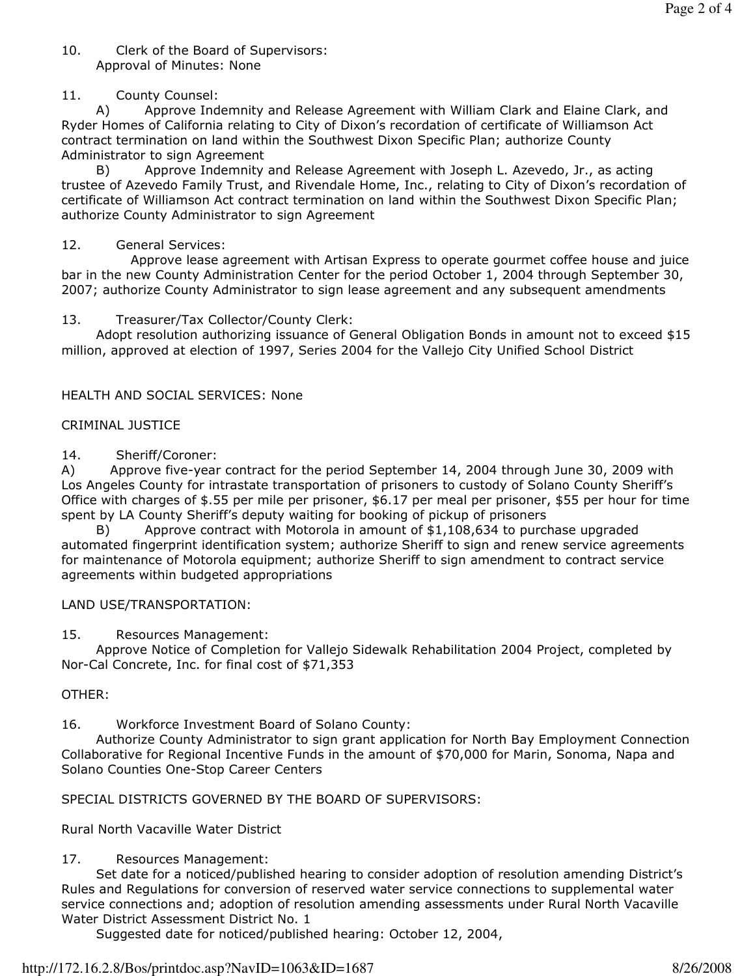#### 10. Clerk of the Board of Supervisors: Approval of Minutes: None

### 11. County Counsel:

 A) Approve Indemnity and Release Agreement with William Clark and Elaine Clark, and Ryder Homes of California relating to City of Dixon's recordation of certificate of Williamson Act contract termination on land within the Southwest Dixon Specific Plan; authorize County Administrator to sign Agreement

 B) Approve Indemnity and Release Agreement with Joseph L. Azevedo, Jr., as acting trustee of Azevedo Family Trust, and Rivendale Home, Inc., relating to City of Dixon's recordation of certificate of Williamson Act contract termination on land within the Southwest Dixon Specific Plan; authorize County Administrator to sign Agreement

### 12. General Services:

 Approve lease agreement with Artisan Express to operate gourmet coffee house and juice bar in the new County Administration Center for the period October 1, 2004 through September 30, 2007; authorize County Administrator to sign lease agreement and any subsequent amendments

## 13. Treasurer/Tax Collector/County Clerk:

 Adopt resolution authorizing issuance of General Obligation Bonds in amount not to exceed \$15 million, approved at election of 1997, Series 2004 for the Vallejo City Unified School District

## HEALTH AND SOCIAL SERVICES: None

## CRIMINAL JUSTICE

14. Sheriff/Coroner:

A) Approve five-year contract for the period September 14, 2004 through June 30, 2009 with Los Angeles County for intrastate transportation of prisoners to custody of Solano County Sheriff's Office with charges of \$.55 per mile per prisoner, \$6.17 per meal per prisoner, \$55 per hour for time spent by LA County Sheriff's deputy waiting for booking of pickup of prisoners

 B) Approve contract with Motorola in amount of \$1,108,634 to purchase upgraded automated fingerprint identification system; authorize Sheriff to sign and renew service agreements for maintenance of Motorola equipment; authorize Sheriff to sign amendment to contract service agreements within budgeted appropriations

### LAND USE/TRANSPORTATION:

15. Resources Management:

 Approve Notice of Completion for Vallejo Sidewalk Rehabilitation 2004 Project, completed by Nor-Cal Concrete, Inc. for final cost of \$71,353

# OTHER:

16. Workforce Investment Board of Solano County:

 Authorize County Administrator to sign grant application for North Bay Employment Connection Collaborative for Regional Incentive Funds in the amount of \$70,000 for Marin, Sonoma, Napa and Solano Counties One-Stop Career Centers

SPECIAL DISTRICTS GOVERNED BY THE BOARD OF SUPERVISORS:

Rural North Vacaville Water District

# 17. Resources Management:

 Set date for a noticed/published hearing to consider adoption of resolution amending District's Rules and Regulations for conversion of reserved water service connections to supplemental water service connections and; adoption of resolution amending assessments under Rural North Vacaville Water District Assessment District No. 1

Suggested date for noticed/published hearing: October 12, 2004,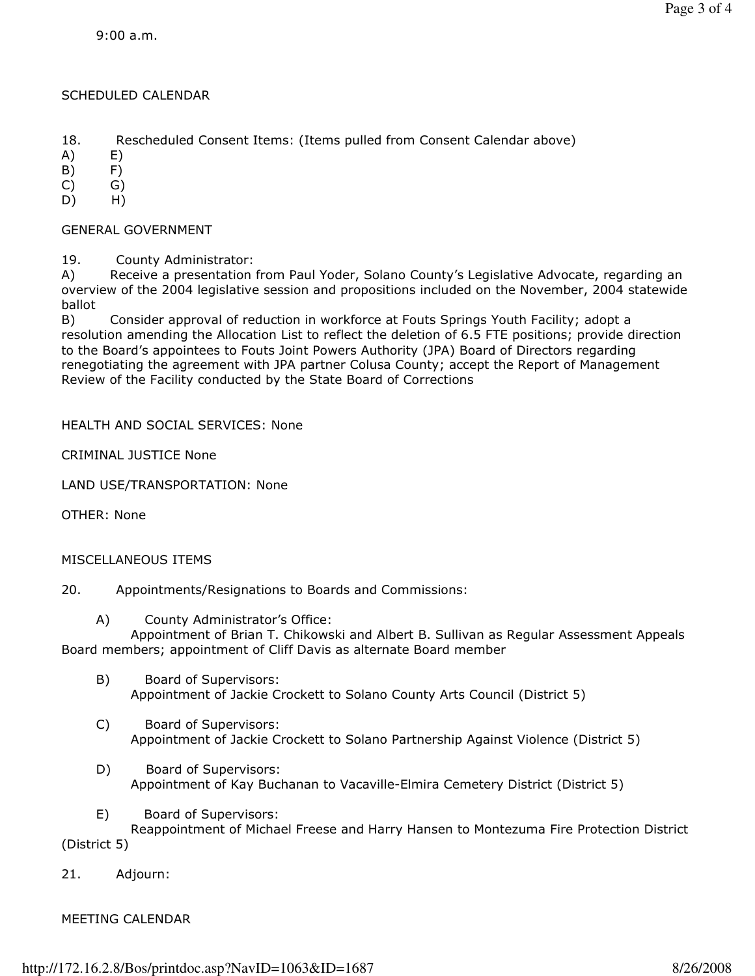#### SCHEDULED CALENDAR

18. Rescheduled Consent Items: (Items pulled from Consent Calendar above)

A) E)

B) F)

 $(C)$   $(G)$ 

D) H)

GENERAL GOVERNMENT

19. County Administrator:

A) Receive a presentation from Paul Yoder, Solano County's Legislative Advocate, regarding an overview of the 2004 legislative session and propositions included on the November, 2004 statewide ballot

B) Consider approval of reduction in workforce at Fouts Springs Youth Facility; adopt a resolution amending the Allocation List to reflect the deletion of 6.5 FTE positions; provide direction to the Board's appointees to Fouts Joint Powers Authority (JPA) Board of Directors regarding renegotiating the agreement with JPA partner Colusa County; accept the Report of Management Review of the Facility conducted by the State Board of Corrections

#### HEALTH AND SOCIAL SERVICES: None

CRIMINAL JUSTICE None

LAND USE/TRANSPORTATION: None

OTHER: None

#### MISCELLANEOUS ITEMS

20. Appointments/Resignations to Boards and Commissions:

A) County Administrator's Office:

 Appointment of Brian T. Chikowski and Albert B. Sullivan as Regular Assessment Appeals Board members; appointment of Cliff Davis as alternate Board member

- B) Board of Supervisors: Appointment of Jackie Crockett to Solano County Arts Council (District 5)
- C) Board of Supervisors: Appointment of Jackie Crockett to Solano Partnership Against Violence (District 5)
- D) Board of Supervisors: Appointment of Kay Buchanan to Vacaville-Elmira Cemetery District (District 5)
- E) Board of Supervisors:

 Reappointment of Michael Freese and Harry Hansen to Montezuma Fire Protection District (District 5)

21. Adjourn:

#### MEETING CALENDAR